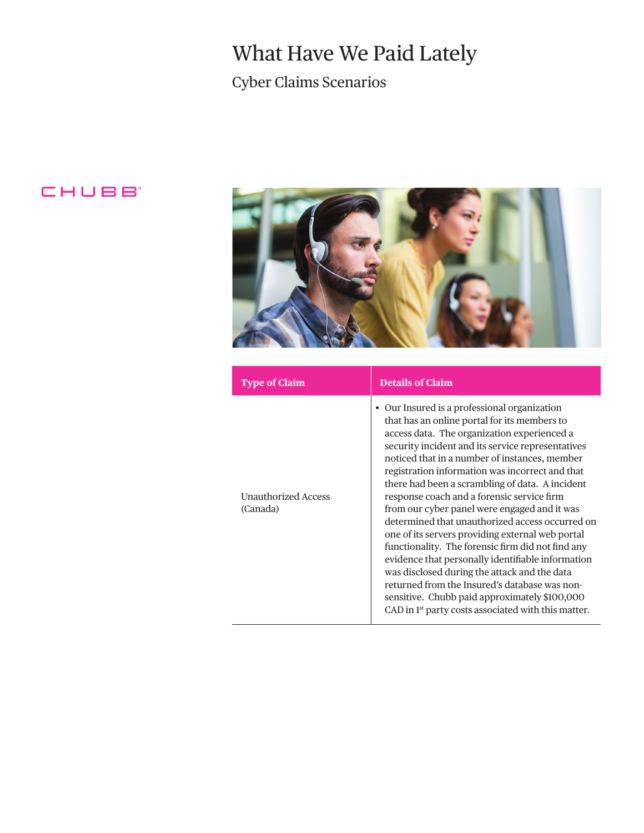# What Have We Paid Lately

Cyber Claims Scenarios

### CHUBB<sup>®</sup>



| <b>Type of Claim</b>                   | <b>Details of Claim</b>                                                                                                                                                                                                                                                                                                                                                                                                                                                                                                                                                                                                                                                                                                                                                                                                                                                                     |
|----------------------------------------|---------------------------------------------------------------------------------------------------------------------------------------------------------------------------------------------------------------------------------------------------------------------------------------------------------------------------------------------------------------------------------------------------------------------------------------------------------------------------------------------------------------------------------------------------------------------------------------------------------------------------------------------------------------------------------------------------------------------------------------------------------------------------------------------------------------------------------------------------------------------------------------------|
| <b>Unauthorized Access</b><br>(Canada) | • Our Insured is a professional organization<br>that has an online portal for its members to<br>access data. The organization experienced a<br>security incident and its service representatives<br>noticed that in a number of instances, member<br>registration information was incorrect and that<br>there had been a scrambling of data. A incident<br>response coach and a forensic service firm<br>from our cyber panel were engaged and it was<br>determined that unauthorized access occurred on<br>one of its servers providing external web portal<br>functionality. The forensic firm did not find any<br>evidence that personally identifiable information<br>was disclosed during the attack and the data<br>returned from the Insured's database was non-<br>sensitive. Chubb paid approximately \$100,000<br>CAD in 1 <sup>st</sup> party costs associated with this matter. |